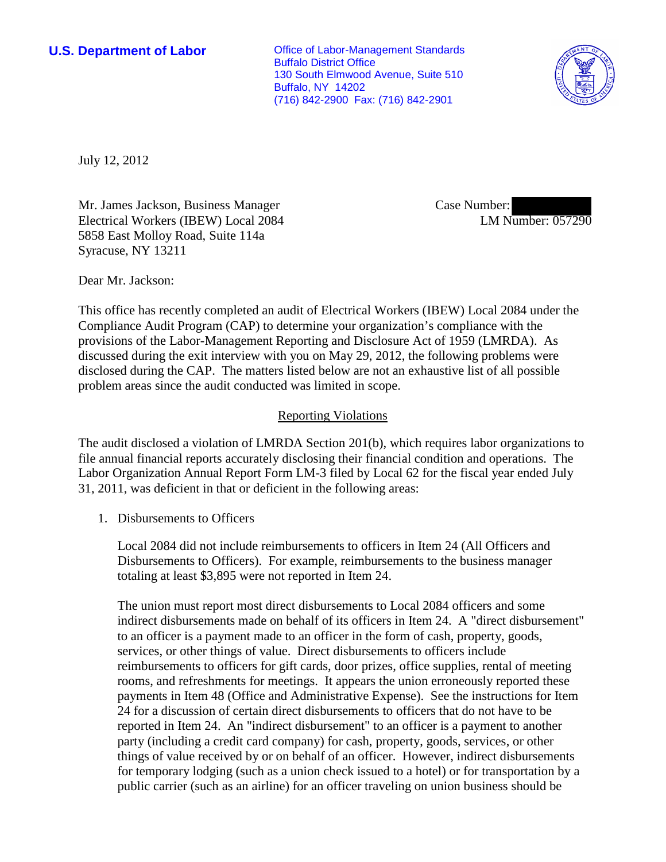**U.S. Department of Labor Conservative Conservative Conservative Conservative Conservative Conservative Conservative Conservative Conservative Conservative Conservative Conservative Conservative Conservative Conservative** Buffalo District Office 130 South Elmwood Avenue, Suite 510 Buffalo, NY 14202 (716) 842-2900 Fax: (716) 842-2901



July 12, 2012

Mr. James Jackson, Business Manager Electrical Workers (IBEW) Local 2084 5858 East Molloy Road, Suite 114a Syracuse, NY 13211

Case Number: LM Number: 057290

Dear Mr. Jackson:

This office has recently completed an audit of Electrical Workers (IBEW) Local 2084 under the Compliance Audit Program (CAP) to determine your organization's compliance with the provisions of the Labor-Management Reporting and Disclosure Act of 1959 (LMRDA). As discussed during the exit interview with you on May 29, 2012, the following problems were disclosed during the CAP. The matters listed below are not an exhaustive list of all possible problem areas since the audit conducted was limited in scope.

# Reporting Violations

The audit disclosed a violation of LMRDA Section 201(b), which requires labor organizations to file annual financial reports accurately disclosing their financial condition and operations. The Labor Organization Annual Report Form LM-3 filed by Local 62 for the fiscal year ended July 31, 2011, was deficient in that or deficient in the following areas:

1. Disbursements to Officers

Local 2084 did not include reimbursements to officers in Item 24 (All Officers and Disbursements to Officers). For example, reimbursements to the business manager totaling at least \$3,895 were not reported in Item 24.

The union must report most direct disbursements to Local 2084 officers and some indirect disbursements made on behalf of its officers in Item 24. A "direct disbursement" to an officer is a payment made to an officer in the form of cash, property, goods, services, or other things of value. Direct disbursements to officers include reimbursements to officers for gift cards, door prizes, office supplies, rental of meeting rooms, and refreshments for meetings. It appears the union erroneously reported these payments in Item 48 (Office and Administrative Expense). See the instructions for Item 24 for a discussion of certain direct disbursements to officers that do not have to be reported in Item 24. An "indirect disbursement" to an officer is a payment to another party (including a credit card company) for cash, property, goods, services, or other things of value received by or on behalf of an officer. However, indirect disbursements for temporary lodging (such as a union check issued to a hotel) or for transportation by a public carrier (such as an airline) for an officer traveling on union business should be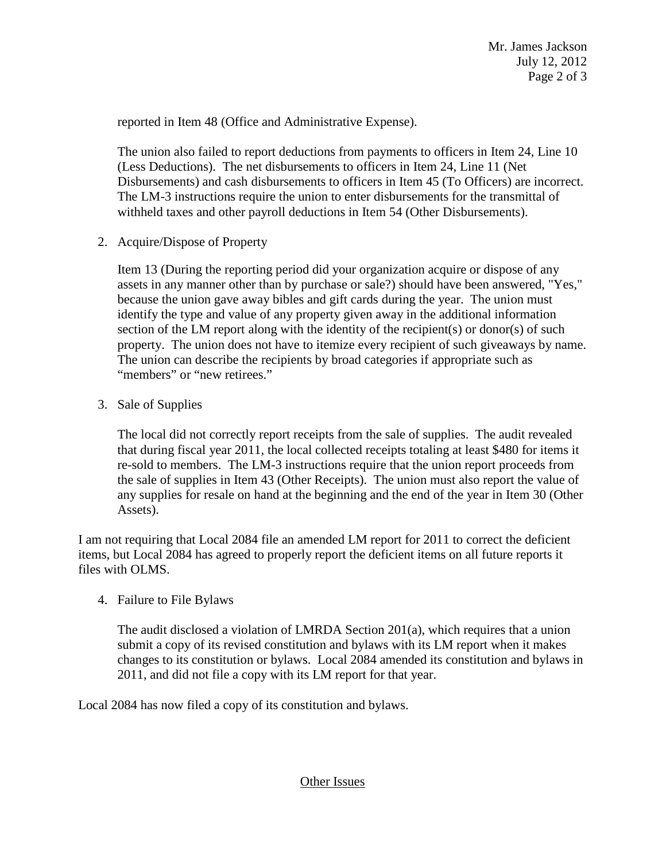reported in Item 48 (Office and Administrative Expense).

The union also failed to report deductions from payments to officers in Item 24, Line 10 (Less Deductions). The net disbursements to officers in Item 24, Line 11 (Net Disbursements) and cash disbursements to officers in Item 45 (To Officers) are incorrect. The LM-3 instructions require the union to enter disbursements for the transmittal of withheld taxes and other payroll deductions in Item 54 (Other Disbursements).

2. Acquire/Dispose of Property

Item 13 (During the reporting period did your organization acquire or dispose of any assets in any manner other than by purchase or sale?) should have been answered, "Yes," because the union gave away bibles and gift cards during the year. The union must identify the type and value of any property given away in the additional information section of the LM report along with the identity of the recipient(s) or donor(s) of such property. The union does not have to itemize every recipient of such giveaways by name. The union can describe the recipients by broad categories if appropriate such as "members" or "new retirees."

3. Sale of Supplies

The local did not correctly report receipts from the sale of supplies. The audit revealed that during fiscal year 2011, the local collected receipts totaling at least \$480 for items it re-sold to members. The LM-3 instructions require that the union report proceeds from the sale of supplies in Item 43 (Other Receipts). The union must also report the value of any supplies for resale on hand at the beginning and the end of the year in Item 30 (Other Assets).

I am not requiring that Local 2084 file an amended LM report for 2011 to correct the deficient items, but Local 2084 has agreed to properly report the deficient items on all future reports it files with OLMS.

4. Failure to File Bylaws

The audit disclosed a violation of LMRDA Section 201(a), which requires that a union submit a copy of its revised constitution and bylaws with its LM report when it makes changes to its constitution or bylaws. Local 2084 amended its constitution and bylaws in 2011, and did not file a copy with its LM report for that year.

Local 2084 has now filed a copy of its constitution and bylaws.

# Other Issues